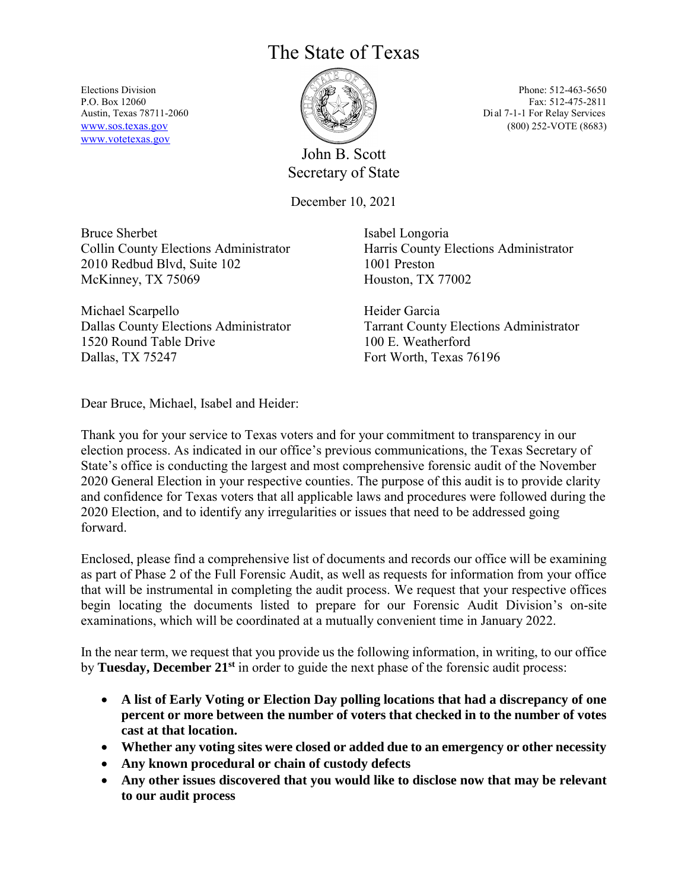## The State of Texas

[www.votetexas.gov](http://www.votetexas.gov/)



John B. Scott Secretary of State

December 10, 2021

Bruce Sherbet Collin County Elections Administrator 2010 Redbud Blvd, Suite 102 McKinney, TX 75069

Michael Scarpello Dallas County Elections Administrator 1520 Round Table Drive Dallas, TX 75247

Isabel Longoria Harris County Elections Administrator 1001 Preston Houston, TX 77002

Heider Garcia Tarrant County Elections Administrator 100 E. Weatherford Fort Worth, Texas 76196

Dear Bruce, Michael, Isabel and Heider:

Thank you for your service to Texas voters and for your commitment to transparency in our election process. As indicated in our office's previous communications, the Texas Secretary of State's office is conducting the largest and most comprehensive forensic audit of the November 2020 General Election in your respective counties. The purpose of this audit is to provide clarity and confidence for Texas voters that all applicable laws and procedures were followed during the 2020 Election, and to identify any irregularities or issues that need to be addressed going forward.

Enclosed, please find a comprehensive list of documents and records our office will be examining as part of Phase 2 of the Full Forensic Audit, as well as requests for information from your office that will be instrumental in completing the audit process. We request that your respective offices begin locating the documents listed to prepare for our Forensic Audit Division's on-site examinations, which will be coordinated at a mutually convenient time in January 2022.

In the near term, we request that you provide us the following information, in writing, to our office by **Tuesday, December 21st** in order to guide the next phase of the forensic audit process:

- **A list of Early Voting or Election Day polling locations that had a discrepancy of one percent or more between the number of voters that checked in to the number of votes cast at that location.**
- **Whether any voting sites were closed or added due to an emergency or other necessity**
- **Any known procedural or chain of custody defects**
- **Any other issues discovered that you would like to disclose now that may be relevant to our audit process**

Elections Division  $\sqrt[3]{\mathscr{A}} \rightarrow \mathbb{R}$ P.O. Box 12060 Fax: 512-475-2811 Austin, Texas 78711-2060 **Dial 7-1-1** For Relay Services [www.sos.texas.gov](http://www.sos.texas.gov/) (800) 252-VOTE (8683)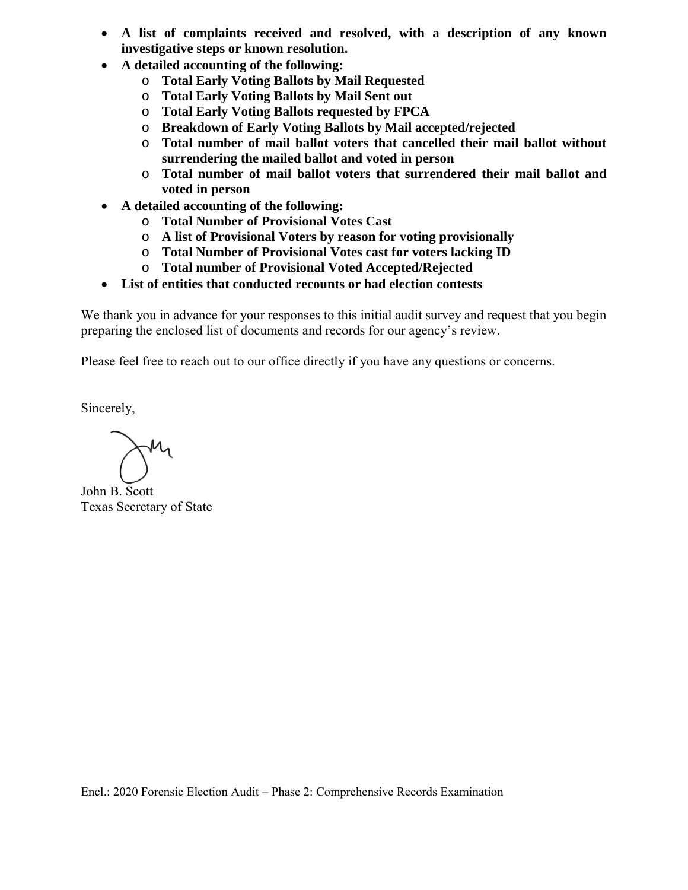- **A list of complaints received and resolved, with a description of any known investigative steps or known resolution.**
- **A detailed accounting of the following:** 
	- o **Total Early Voting Ballots by Mail Requested**
	- o **Total Early Voting Ballots by Mail Sent out**
	- o **Total Early Voting Ballots requested by FPCA**
	- o **Breakdown of Early Voting Ballots by Mail accepted/rejected**
	- o **Total number of mail ballot voters that cancelled their mail ballot without surrendering the mailed ballot and voted in person**
	- o **Total number of mail ballot voters that surrendered their mail ballot and voted in person**
- **A detailed accounting of the following:** 
	- o **Total Number of Provisional Votes Cast**
	- o **A list of Provisional Voters by reason for voting provisionally**
	- o **Total Number of Provisional Votes cast for voters lacking ID**
	- o **Total number of Provisional Voted Accepted/Rejected**
- **List of entities that conducted recounts or had election contests**

We thank you in advance for your responses to this initial audit survey and request that you begin preparing the enclosed list of documents and records for our agency's review.

Please feel free to reach out to our office directly if you have any questions or concerns.

Sincerely,

John B. Scott Texas Secretary of State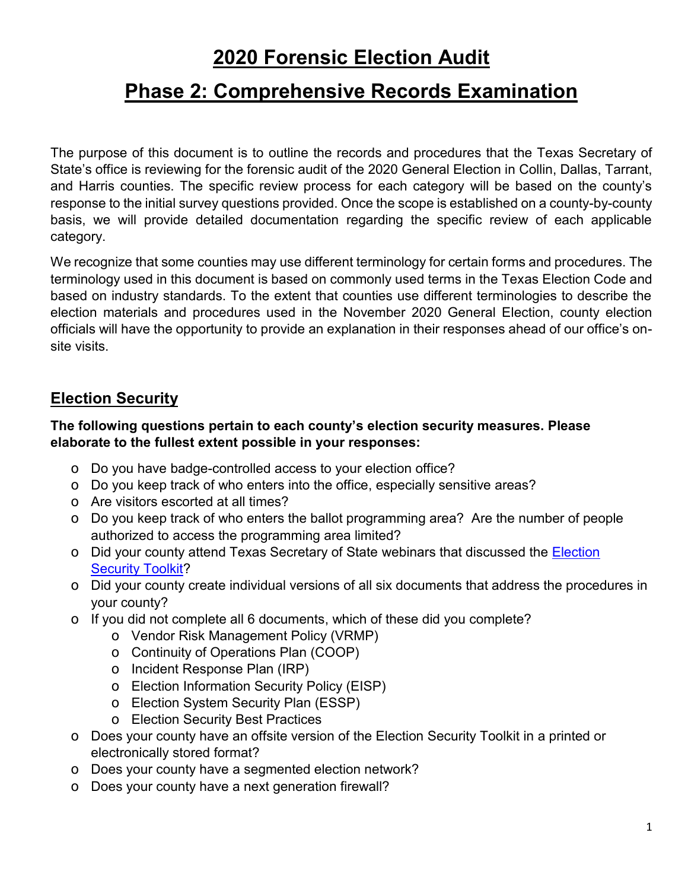# **2020 Forensic Election Audit**

# **Phase 2: Comprehensive Records Examination**

The purpose of this document is to outline the records and procedures that the Texas Secretary of State's office is reviewing for the forensic audit of the 2020 General Election in Collin, Dallas, Tarrant, and Harris counties. The specific review process for each category will be based on the county's response to the initial survey questions provided. Once the scope is established on a county-by-county basis, we will provide detailed documentation regarding the specific review of each applicable category.

We recognize that some counties may use different terminology for certain forms and procedures. The terminology used in this document is based on commonly used terms in the Texas Election Code and based on industry standards. To the extent that counties use different terminologies to describe the election materials and procedures used in the November 2020 General Election, county election officials will have the opportunity to provide an explanation in their responses ahead of our office's onsite visits.

#### **Election Security**

#### **The following questions pertain to each county's election security measures. Please elaborate to the fullest extent possible in your responses:**

- o Do you have badge-controlled access to your election office?
- o Do you keep track of who enters into the office, especially sensitive areas?
- o Are visitors escorted at all times?
- o Do you keep track of who enters the ballot programming area? Are the number of people authorized to access the programming area limited?
- o Did your county attend Texas Secretary of State webinars that discussed the Election [Security Toolkit?](https://www.sos.state.tx.us/elections/laws/advisory2020-04.shtml)
- o Did your county create individual versions of all six documents that address the procedures in your county?
- $\circ$  If you did not complete all 6 documents, which of these did you complete?
	- o Vendor Risk Management Policy (VRMP)
	- o Continuity of Operations Plan (COOP)
	- o Incident Response Plan (IRP)
	- o Election Information Security Policy (EISP)
	- o Election System Security Plan (ESSP)
	- o Election Security Best Practices
- o Does your county have an offsite version of the Election Security Toolkit in a printed or electronically stored format?
- o Does your county have a segmented election network?
- o Does your county have a next generation firewall?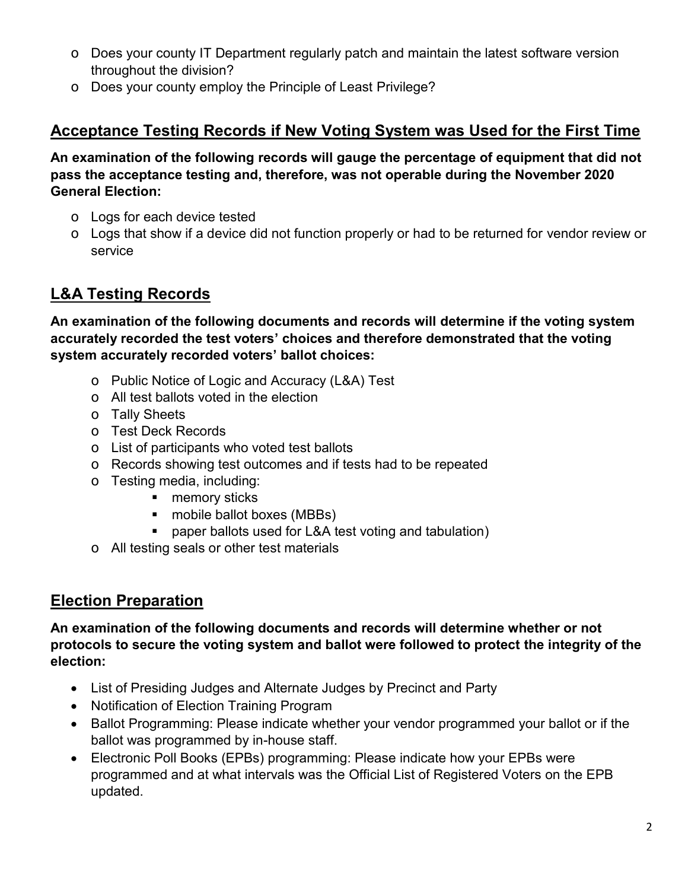- o Does your county IT Department regularly patch and maintain the latest software version throughout the division?
- o Does your county employ the Principle of Least Privilege?

### **Acceptance Testing Records if New Voting System was Used for the First Time**

**An examination of the following records will gauge the percentage of equipment that did not pass the acceptance testing and, therefore, was not operable during the November 2020 General Election:** 

- o Logs for each device tested
- $\circ$  Logs that show if a device did not function properly or had to be returned for vendor review or service

### **L&A Testing Records**

**An examination of the following documents and records will determine if the voting system accurately recorded the test voters' choices and therefore demonstrated that the voting system accurately recorded voters' ballot choices:** 

- o Public Notice of Logic and Accuracy (L&A) Test
- o All test ballots voted in the election
- o Tally Sheets
- o Test Deck Records
- o List of participants who voted test ballots
- o Records showing test outcomes and if tests had to be repeated
- o Testing media, including:
	- **n** memory sticks
	- mobile ballot boxes (MBBs)
	- paper ballots used for L&A test voting and tabulation)
- o All testing seals or other test materials

### **Election Preparation**

**An examination of the following documents and records will determine whether or not protocols to secure the voting system and ballot were followed to protect the integrity of the election:** 

- List of Presiding Judges and Alternate Judges by Precinct and Party
- Notification of Election Training Program
- Ballot Programming: Please indicate whether your vendor programmed your ballot or if the ballot was programmed by in-house staff.
- Electronic Poll Books (EPBs) programming: Please indicate how your EPBs were programmed and at what intervals was the Official List of Registered Voters on the EPB updated.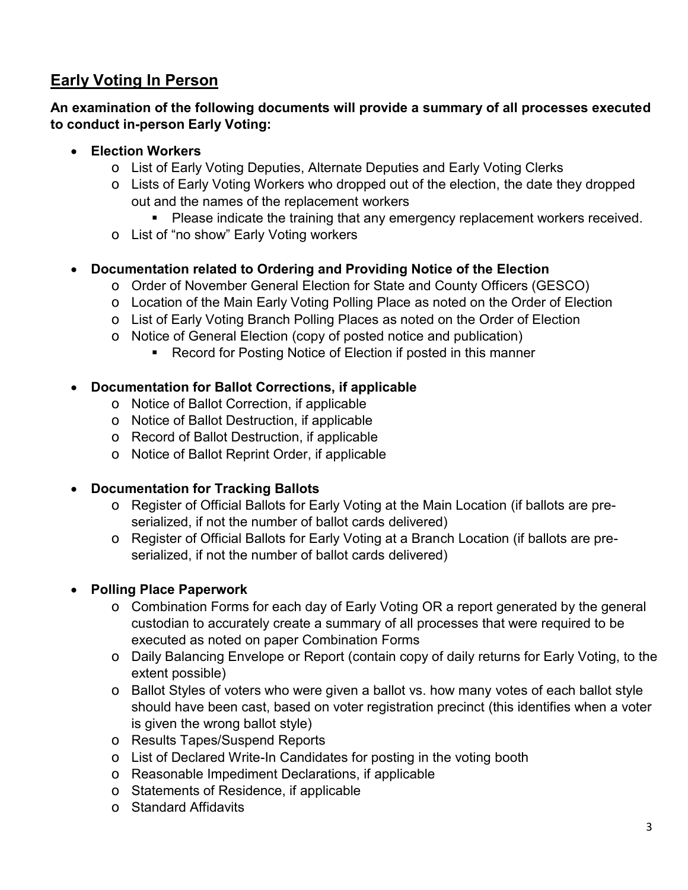### **Early Voting In Person**

#### **An examination of the following documents will provide a summary of all processes executed to conduct in-person Early Voting:**

#### **Election Workers**

- o List of Early Voting Deputies, Alternate Deputies and Early Voting Clerks
- o Lists of Early Voting Workers who dropped out of the election, the date they dropped out and the names of the replacement workers
	- **Please indicate the training that any emergency replacement workers received.**
- o List of "no show" Early Voting workers

#### **Documentation related to Ordering and Providing Notice of the Election**

- o Order of November General Election for State and County Officers (GESCO)
- o Location of the Main Early Voting Polling Place as noted on the Order of Election
- o List of Early Voting Branch Polling Places as noted on the Order of Election
- o Notice of General Election (copy of posted notice and publication)
	- Record for Posting Notice of Election if posted in this manner

#### **Documentation for Ballot Corrections, if applicable**

- o Notice of Ballot Correction, if applicable
- o Notice of Ballot Destruction, if applicable
- o Record of Ballot Destruction, if applicable
- o Notice of Ballot Reprint Order, if applicable

#### **Documentation for Tracking Ballots**

- o Register of Official Ballots for Early Voting at the Main Location (if ballots are preserialized, if not the number of ballot cards delivered)
- o Register of Official Ballots for Early Voting at a Branch Location (if ballots are preserialized, if not the number of ballot cards delivered)

#### **Polling Place Paperwork**

- o Combination Forms for each day of Early Voting OR a report generated by the general custodian to accurately create a summary of all processes that were required to be executed as noted on paper Combination Forms
- o Daily Balancing Envelope or Report (contain copy of daily returns for Early Voting, to the extent possible)
- o Ballot Styles of voters who were given a ballot vs. how many votes of each ballot style should have been cast, based on voter registration precinct (this identifies when a voter is given the wrong ballot style)
- o Results Tapes/Suspend Reports
- o List of Declared Write-In Candidates for posting in the voting booth
- o Reasonable Impediment Declarations, if applicable
- o Statements of Residence, if applicable
- o Standard Affidavits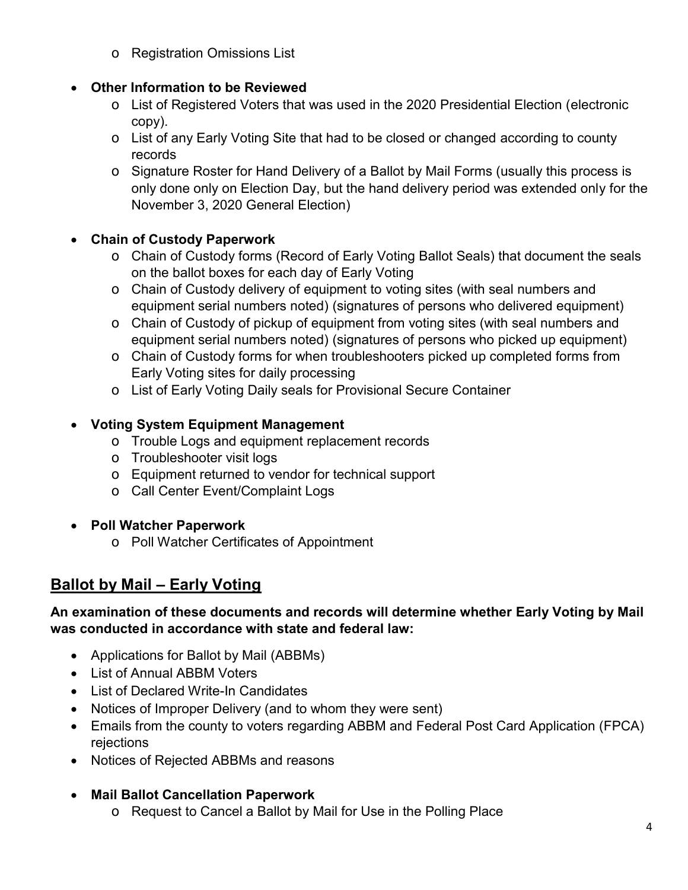o Registration Omissions List

#### **Other Information to be Reviewed**

- o List of Registered Voters that was used in the 2020 Presidential Election (electronic copy).
- o List of any Early Voting Site that had to be closed or changed according to county records
- o Signature Roster for Hand Delivery of a Ballot by Mail Forms (usually this process is only done only on Election Day, but the hand delivery period was extended only for the November 3, 2020 General Election)

#### **Chain of Custody Paperwork**

- o Chain of Custody forms (Record of Early Voting Ballot Seals) that document the seals on the ballot boxes for each day of Early Voting
- o Chain of Custody delivery of equipment to voting sites (with seal numbers and equipment serial numbers noted) (signatures of persons who delivered equipment)
- o Chain of Custody of pickup of equipment from voting sites (with seal numbers and equipment serial numbers noted) (signatures of persons who picked up equipment)
- o Chain of Custody forms for when troubleshooters picked up completed forms from Early Voting sites for daily processing
- o List of Early Voting Daily seals for Provisional Secure Container

#### **Voting System Equipment Management**

- o Trouble Logs and equipment replacement records
- o Troubleshooter visit logs
- o Equipment returned to vendor for technical support
- o Call Center Event/Complaint Logs
- **Poll Watcher Paperwork** 
	- o Poll Watcher Certificates of Appointment

### **Ballot by Mail – Early Voting**

#### **An examination of these documents and records will determine whether Early Voting by Mail was conducted in accordance with state and federal law:**

- Applications for Ballot by Mail (ABBMs)
- List of Annual ABBM Voters
- List of Declared Write-In Candidates
- Notices of Improper Delivery (and to whom they were sent)
- Emails from the county to voters regarding ABBM and Federal Post Card Application (FPCA) rejections
- Notices of Rejected ABBMs and reasons

#### **Mail Ballot Cancellation Paperwork**

o Request to Cancel a Ballot by Mail for Use in the Polling Place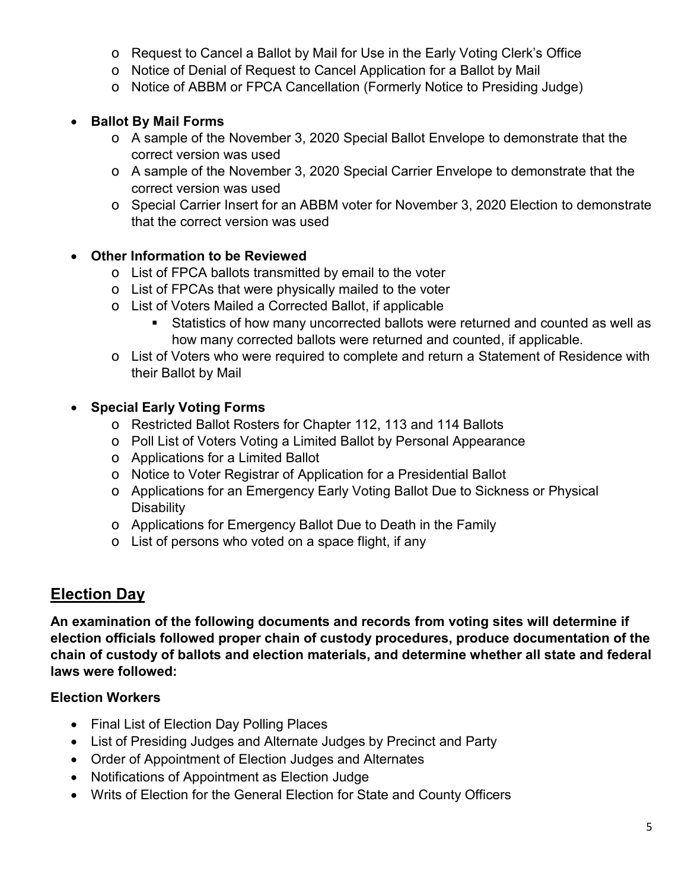- o Request to Cancel a Ballot by Mail for Use in the Early Voting Clerk's Office
- o Notice of Denial of Request to Cancel Application for a Ballot by Mail
- o Notice of ABBM or FPCA Cancellation (Formerly Notice to Presiding Judge)

#### **Ballot By Mail Forms**

- o A sample of the November 3, 2020 Special Ballot Envelope to demonstrate that the correct version was used
- o A sample of the November 3, 2020 Special Carrier Envelope to demonstrate that the correct version was used
- o Special Carrier Insert for an ABBM voter for November 3, 2020 Election to demonstrate that the correct version was used

#### **Other Information to be Reviewed**

- o List of FPCA ballots transmitted by email to the voter
- o List of FPCAs that were physically mailed to the voter
- o List of Voters Mailed a Corrected Ballot, if applicable
	- Statistics of how many uncorrected ballots were returned and counted as well as how many corrected ballots were returned and counted, if applicable.
- o List of Voters who were required to complete and return a Statement of Residence with their Ballot by Mail

#### **Special Early Voting Forms**

- o Restricted Ballot Rosters for Chapter 112, 113 and 114 Ballots
- o Poll List of Voters Voting a Limited Ballot by Personal Appearance
- o Applications for a Limited Ballot
- o Notice to Voter Registrar of Application for a Presidential Ballot
- o Applications for an Emergency Early Voting Ballot Due to Sickness or Physical **Disability**
- o Applications for Emergency Ballot Due to Death in the Family
- o List of persons who voted on a space flight, if any

### **Election Day**

**An examination of the following documents and records from voting sites will determine if election officials followed proper chain of custody procedures, produce documentation of the chain of custody of ballots and election materials, and determine whether all state and federal laws were followed:** 

#### **Election Workers**

- Final List of Election Day Polling Places
- List of Presiding Judges and Alternate Judges by Precinct and Party
- Order of Appointment of Election Judges and Alternates
- Notifications of Appointment as Election Judge
- Writs of Election for the General Election for State and County Officers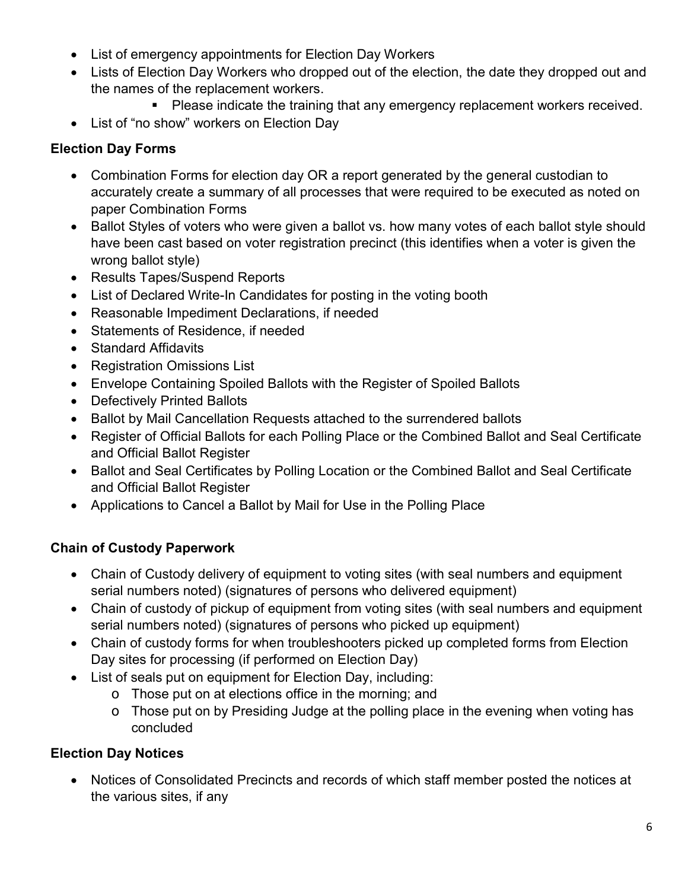- List of emergency appointments for Election Day Workers
- Lists of Election Day Workers who dropped out of the election, the date they dropped out and the names of the replacement workers.
	- **Please indicate the training that any emergency replacement workers received.**
- List of "no show" workers on Election Day

#### **Election Day Forms**

- Combination Forms for election day OR a report generated by the general custodian to accurately create a summary of all processes that were required to be executed as noted on paper Combination Forms
- Ballot Styles of voters who were given a ballot vs. how many votes of each ballot style should have been cast based on voter registration precinct (this identifies when a voter is given the wrong ballot style)
- Results Tapes/Suspend Reports
- List of Declared Write-In Candidates for posting in the voting booth
- Reasonable Impediment Declarations, if needed
- Statements of Residence, if needed
- Standard Affidavits
- Registration Omissions List
- Envelope Containing Spoiled Ballots with the Register of Spoiled Ballots
- Defectively Printed Ballots
- Ballot by Mail Cancellation Requests attached to the surrendered ballots
- Register of Official Ballots for each Polling Place or the Combined Ballot and Seal Certificate and Official Ballot Register
- Ballot and Seal Certificates by Polling Location or the Combined Ballot and Seal Certificate and Official Ballot Register
- Applications to Cancel a Ballot by Mail for Use in the Polling Place

### **Chain of Custody Paperwork**

- Chain of Custody delivery of equipment to voting sites (with seal numbers and equipment serial numbers noted) (signatures of persons who delivered equipment)
- Chain of custody of pickup of equipment from voting sites (with seal numbers and equipment serial numbers noted) (signatures of persons who picked up equipment)
- Chain of custody forms for when troubleshooters picked up completed forms from Election Day sites for processing (if performed on Election Day)
- List of seals put on equipment for Election Day, including:
	- o Those put on at elections office in the morning; and
	- o Those put on by Presiding Judge at the polling place in the evening when voting has concluded

### **Election Day Notices**

 Notices of Consolidated Precincts and records of which staff member posted the notices at the various sites, if any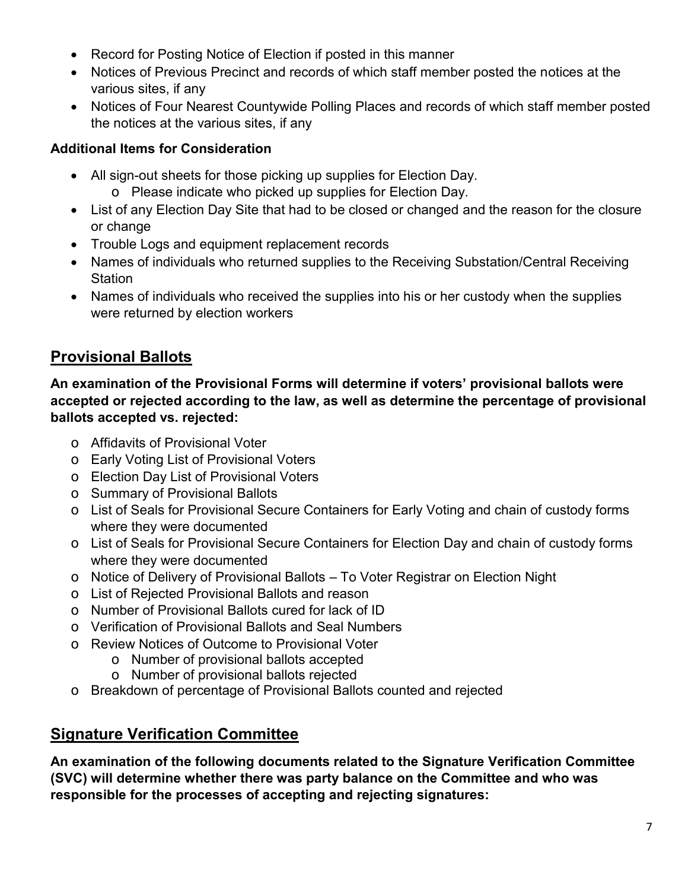- Record for Posting Notice of Election if posted in this manner
- Notices of Previous Precinct and records of which staff member posted the notices at the various sites, if any
- Notices of Four Nearest Countywide Polling Places and records of which staff member posted the notices at the various sites, if any

#### **Additional Items for Consideration**

- All sign-out sheets for those picking up supplies for Election Day.
	- o Please indicate who picked up supplies for Election Day.
- List of any Election Day Site that had to be closed or changed and the reason for the closure or change
- Trouble Logs and equipment replacement records
- Names of individuals who returned supplies to the Receiving Substation/Central Receiving **Station**
- Names of individuals who received the supplies into his or her custody when the supplies were returned by election workers

## **Provisional Ballots**

**An examination of the Provisional Forms will determine if voters' provisional ballots were accepted or rejected according to the law, as well as determine the percentage of provisional ballots accepted vs. rejected:** 

- o Affidavits of Provisional Voter
- o Early Voting List of Provisional Voters
- o Election Day List of Provisional Voters
- o Summary of Provisional Ballots
- o List of Seals for Provisional Secure Containers for Early Voting and chain of custody forms where they were documented
- o List of Seals for Provisional Secure Containers for Election Day and chain of custody forms where they were documented
- o Notice of Delivery of Provisional Ballots To Voter Registrar on Election Night
- o List of Rejected Provisional Ballots and reason
- o Number of Provisional Ballots cured for lack of ID
- o Verification of Provisional Ballots and Seal Numbers
- o Review Notices of Outcome to Provisional Voter
	- o Number of provisional ballots accepted
	- o Number of provisional ballots rejected
- o Breakdown of percentage of Provisional Ballots counted and rejected

### **Signature Verification Committee**

**An examination of the following documents related to the Signature Verification Committee (SVC) will determine whether there was party balance on the Committee and who was responsible for the processes of accepting and rejecting signatures:**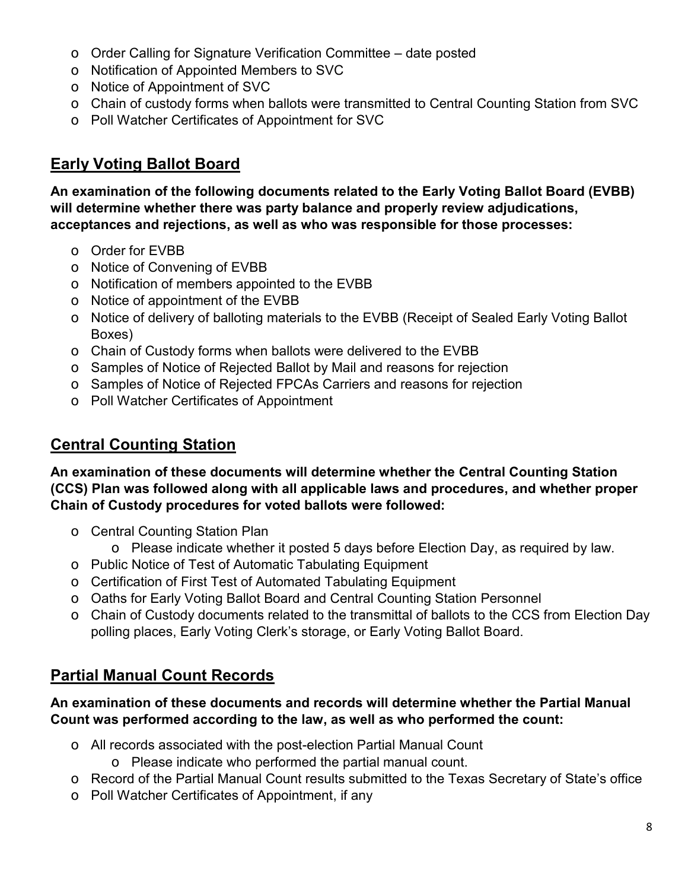- o Order Calling for Signature Verification Committee date posted
- o Notification of Appointed Members to SVC
- o Notice of Appointment of SVC
- o Chain of custody forms when ballots were transmitted to Central Counting Station from SVC
- o Poll Watcher Certificates of Appointment for SVC

### **Early Voting Ballot Board**

**An examination of the following documents related to the Early Voting Ballot Board (EVBB) will determine whether there was party balance and properly review adjudications, acceptances and rejections, as well as who was responsible for those processes:** 

- o Order for EVBB
- o Notice of Convening of EVBB
- o Notification of members appointed to the EVBB
- o Notice of appointment of the EVBB
- o Notice of delivery of balloting materials to the EVBB (Receipt of Sealed Early Voting Ballot Boxes)
- o Chain of Custody forms when ballots were delivered to the EVBB
- o Samples of Notice of Rejected Ballot by Mail and reasons for rejection
- o Samples of Notice of Rejected FPCAs Carriers and reasons for rejection
- o Poll Watcher Certificates of Appointment

### **Central Counting Station**

**An examination of these documents will determine whether the Central Counting Station (CCS) Plan was followed along with all applicable laws and procedures, and whether proper Chain of Custody procedures for voted ballots were followed:** 

- o Central Counting Station Plan
	- $\circ$  Please indicate whether it posted 5 days before Election Day, as required by law.
- o Public Notice of Test of Automatic Tabulating Equipment
- o Certification of First Test of Automated Tabulating Equipment
- o Oaths for Early Voting Ballot Board and Central Counting Station Personnel
- o Chain of Custody documents related to the transmittal of ballots to the CCS from Election Day polling places, Early Voting Clerk's storage, or Early Voting Ballot Board.

### **Partial Manual Count Records**

#### **An examination of these documents and records will determine whether the Partial Manual Count was performed according to the law, as well as who performed the count:**

- o All records associated with the post-election Partial Manual Count
	- o Please indicate who performed the partial manual count.
- o Record of the Partial Manual Count results submitted to the Texas Secretary of State's office
- o Poll Watcher Certificates of Appointment, if any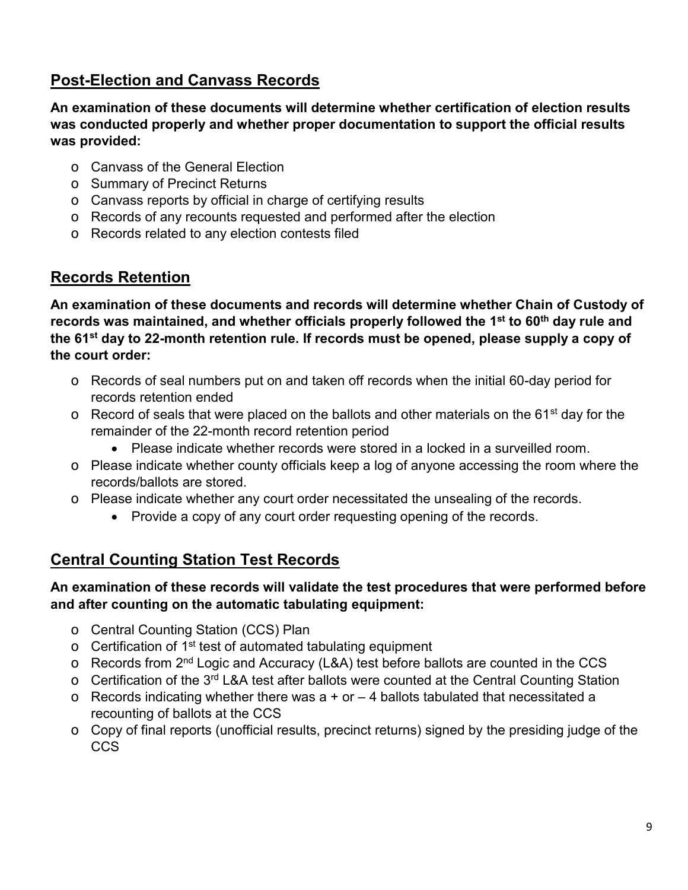### **Post-Election and Canvass Records**

**An examination of these documents will determine whether certification of election results was conducted properly and whether proper documentation to support the official results was provided:** 

- o Canvass of the General Election
- o Summary of Precinct Returns
- o Canvass reports by official in charge of certifying results
- o Records of any recounts requested and performed after the election
- o Records related to any election contests filed

### **Records Retention**

**An examination of these documents and records will determine whether Chain of Custody of records was maintained, and whether officials properly followed the 1st to 60th day rule and the 61st day to 22-month retention rule. If records must be opened, please supply a copy of the court order:** 

- o Records of seal numbers put on and taken off records when the initial 60-day period for records retention ended
- $\circ$  Record of seals that were placed on the ballots and other materials on the 61<sup>st</sup> day for the remainder of the 22-month record retention period
	- Please indicate whether records were stored in a locked in a surveilled room.
- o Please indicate whether county officials keep a log of anyone accessing the room where the records/ballots are stored.
- o Please indicate whether any court order necessitated the unsealing of the records.
	- Provide a copy of any court order requesting opening of the records.

### **Central Counting Station Test Records**

#### **An examination of these records will validate the test procedures that were performed before and after counting on the automatic tabulating equipment:**

- o Central Counting Station (CCS) Plan
- $\circ$  Certification of 1<sup>st</sup> test of automated tabulating equipment
- $\circ$  Records from 2<sup>nd</sup> Logic and Accuracy (L&A) test before ballots are counted in the CCS
- o Certification of the 3rd L&A test after ballots were counted at the Central Counting Station
- $\circ$  Records indicating whether there was a + or 4 ballots tabulated that necessitated a recounting of ballots at the CCS
- o Copy of final reports (unofficial results, precinct returns) signed by the presiding judge of the CCS